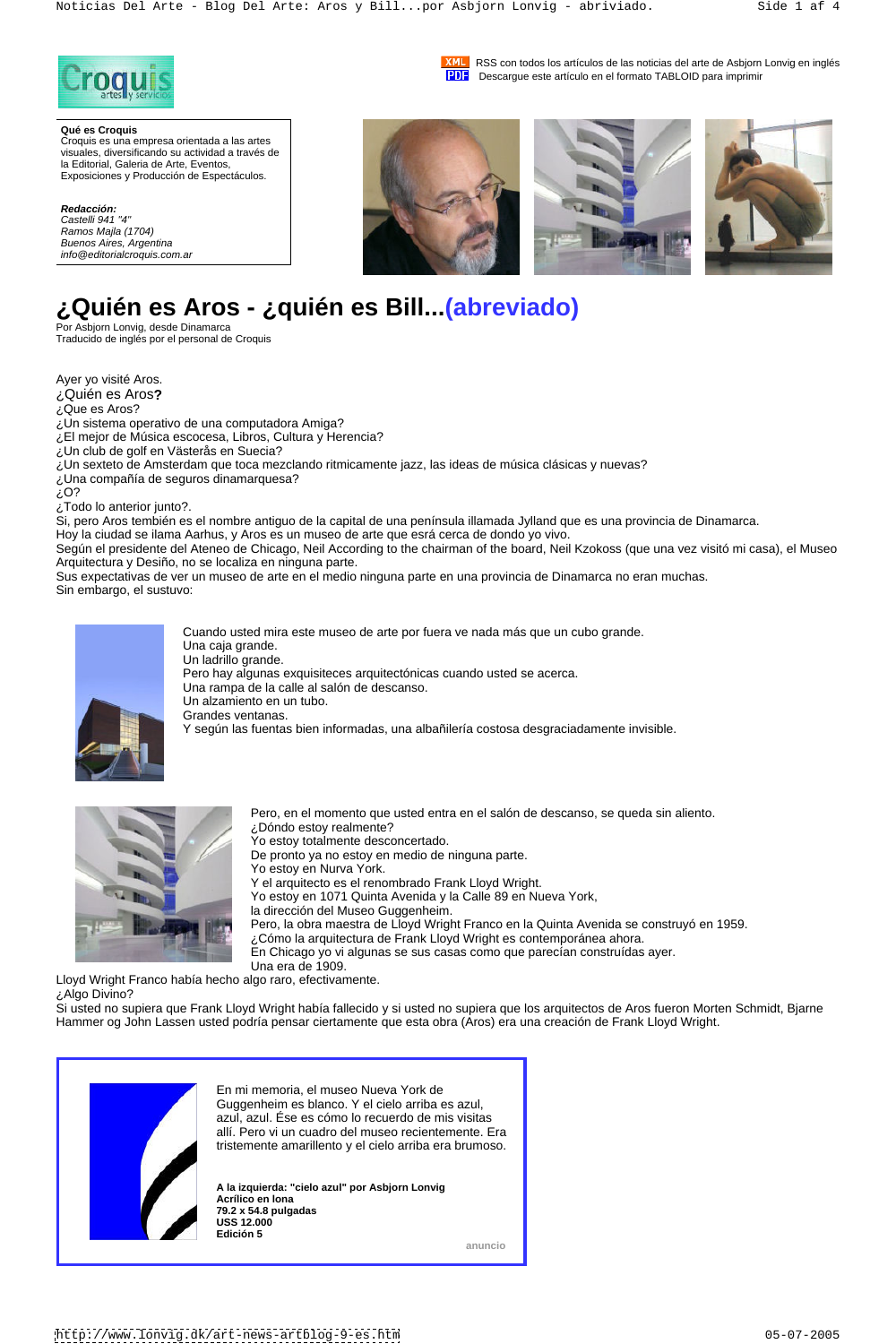

**XML** RSS con todos los artículos de las noticias del arte de Asbjorn Lonvig en inglés **PDF** Descargue este artículo en el formato TABLOID para imprimir

# **¿Quién es Aros - ¿quién es Bill...(abreviado)**

Por Asbjorn Lonvig, desde Dinamarca Traducido de inglés por el personal de Croquis

Ayer yo visité Aros.

¿Quién es Aros**?**

¿Que es Aros?

¿Un sistema operativo de una computadora Amiga?

¿El mejor de Música escocesa, Libros, Cultura y Herencia?

¿Un club de golf en Västerås en Suecia?

¿Un sexteto de Amsterdam que toca mezclando ritmicamente jazz, las ideas de música clásicas y nuevas?

¿Una compañía de seguros dinamarquesa?

 $\mathcal{E}^{\text{O?}}$ 

¿Todo lo anterior junto?.

Si, pero Aros tembién es el nombre antiguo de la capital de una península illamada Jylland que es una provincia de Dinamarca.

Hoy la ciudad se ilama Aarhus, y Aros es un museo de arte que esrá cerca de dondo yo vivo.

Según el presidente del Ateneo de Chicago, Neil According to the chairman of the board, Neil Kzokoss (que una vez visitó mi casa), el Museo Arquitectura y Desiño, no se localiza en ninguna parte.

Sus expectativas de ver un museo de arte en el medio ninguna parte en una provincia de Dinamarca no eran muchas. Sin embargo, el sustuvo:



Cuando usted mira este museo de arte por fuera ve nada más que un cubo grande. Una caja grande. Un ladrillo grande. Pero hay algunas exquisiteces arquitectónicas cuando usted se acerca. Una rampa de la calle al salón de descanso. Un alzamiento en un tubo. Grandes ventanas. Y según las fuentas bien informadas, una albañilería costosa desgraciadamente invisible.



Ramos Majla (1704)<br>Buenos Aires, Argentina info@editorialcroquis.com.ar

> Pero, en el momento que usted entra en el salón de descanso, se queda sin aliento. ¿Dóndo estoy realmente? Yo estoy totalmente desconcertado. De pronto ya no estoy en medio de ninguna parte. Yo estoy en Nurva York. Y el arquitecto es el renombrado Frank Lloyd Wright. Yo estoy en 1071 Quinta Avenida y la Calle 89 en Nueva York, la dirección del Museo Guggenheim. Pero, la obra maestra de Lloyd Wright Franco en la Quinta Avenida se construyó en 1959.

¿Cómo la arquitectura de Frank Lloyd Wright es contemporánea ahora. En Chicago yo vi algunas se sus casas como que parecían construídas ayer. Una era de 1909.

Lloyd Wright Franco había hecho algo raro, efectivamente.

¿Algo Divino?

Si usted no supiera que Frank Lloyd Wright había fallecido y si usted no supiera que los arquitectos de Aros fueron Morten Schmidt, Bjarne Hammer og John Lassen usted podría pensar ciertamente que esta obra (Aros) era una creación de Frank Lloyd Wright.



Croquis es una empresa orientada a las artes visuales, diversificando su actividad a través de la Editorial, Galeria de Arte, Eventos, Exposiciones y Producción de Espectáculos.



En mi memoria, el museo Nueva York de Guggenheim es blanco. Y el cielo arriba es azul, azul, azul. Ése es cómo lo recuerdo de mis visitas allí. Pero vi un cuadro del museo recientemente. Era tristemente amarillento y el cielo arriba era brumoso.

**A la izquierda: "cielo azul" por Asbjorn Lonvig Acrílico en lona 79.2 x 54.8 pulgadas USS 12.000 Edición 5**

**anuncio**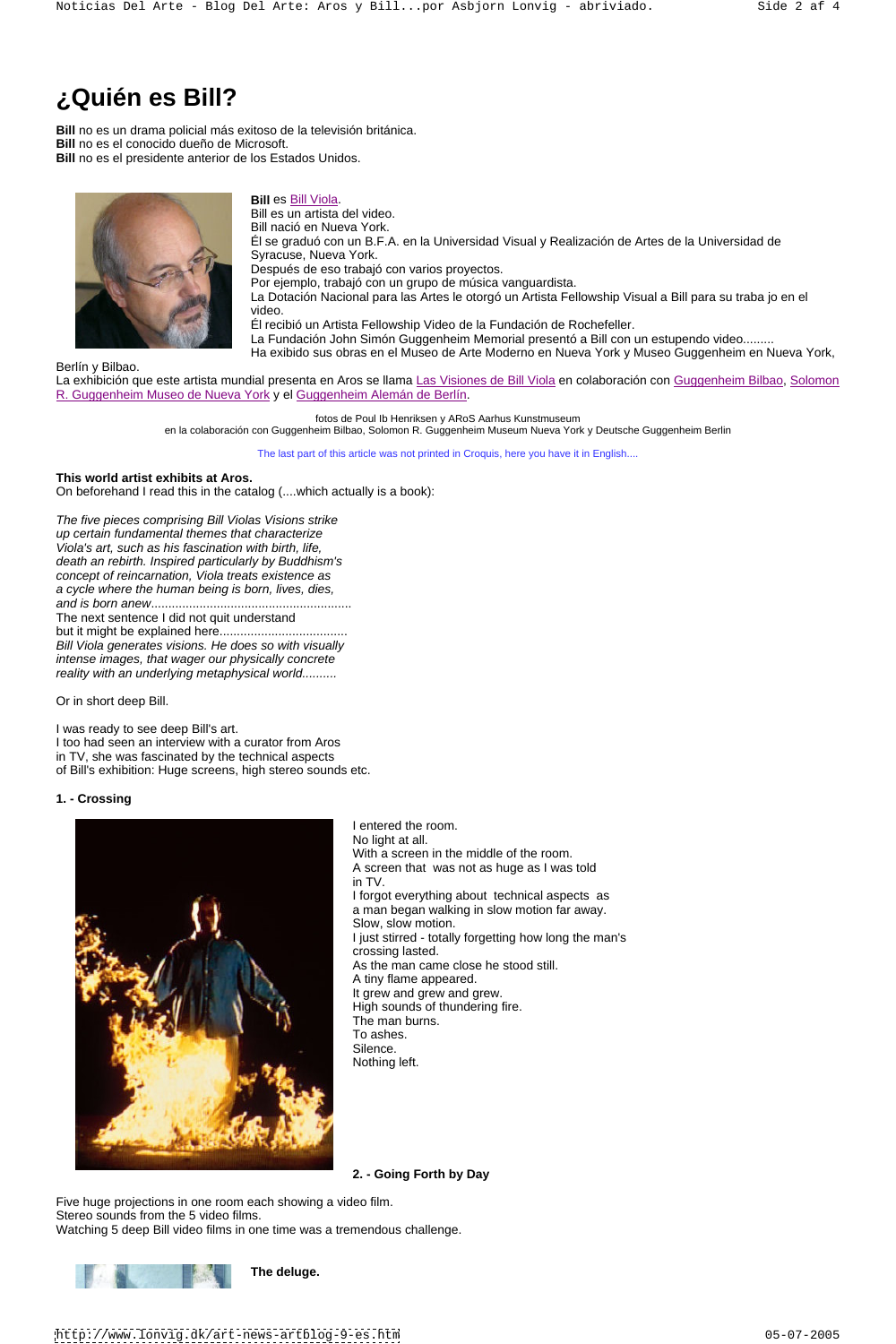## **¿Quién es Bill?**

 **Bill** no es un drama policial más exitoso de la televisión británica. **Bill** no es el conocido dueño de Microsoft. **Bill** no es el presidente anterior de los Estados Unidos.



#### **Bill** es Bill Viola.

Bill es un artista del video. Bill nació en Nueva York. Él se graduó con un B.F.A. en la Universidad Visual y Realización de Artes de la Universidad de Syracuse, Nueva York. Después de eso trabajó con varios proyectos. Por ejemplo, trabajó con un grupo de música vanguardista. La Dotación Nacional para las Artes le otorgó un Artista Fellowship Visual a Bill para su traba jo en el video. Él recibió un Artista Fellowship Video de la Fundación de Rochefeller. La Fundación John Simón Guggenheim Memorial presentó a Bill con un estupendo video......... Ha exibido sus obras en el Museo de Arte Moderno en Nueva York y Museo Guggenheim en Nueva York,

La exhibición que este artista mundial presenta en Aros se llama Las Visiones de Bill Viola en colaboración con Guggenheim Bilbao, Solomon R. Guggenheim Museo de Nueva York y el Guggenheim Alemán de Berlín.

Berlín y Bilbao.

fotos de Poul Ib Henriksen y ARoS Aarhus Kunstmuseum

en la colaboración con Guggenheim Bilbao, Solomon R. Guggenheim Museum Nueva York y Deutsche Guggenheim Berlin

The last part of this article was not printed in Croquis, here you have it in English....

#### **This world artist exhibits at Aros.**

On beforehand I read this in the catalog (....which actually is a book):

The five pieces comprising Bill Violas Visions strike up certain fundamental themes that characterize Viola's art, such as his fascination with birth, life, death an rebirth. Inspired particularly by Buddhism's concept of reincarnation, Viola treats existence as a cycle where the human being is born, lives, dies, and is born anew.......................................................... The next sentence I did not quit understand but it might be explained here..................................... Bill Viola generates visions. He does so with visually intense images, that wager our physically concrete

reality with an underlying metaphysical world..........

Or in short deep Bill.

I was ready to see deep Bill's art.

I too had seen an interview with a curator from Aros

in TV, she was fascinated by the technical aspects

of Bill's exhibition: Huge screens, high stereo sounds etc.

#### **1. - Crossing**



I entered the room. No light at all. With a screen in the middle of the room. A screen that was not as huge as I was told in TV. I forgot everything about technical aspects as a man began walking in slow motion far away. Slow, slow motion.

I just stirred - totally forgetting how long the man's crossing lasted. As the man came close he stood still. A tiny flame appeared. It grew and grew and grew. High sounds of thundering fire. The man burns. To ashes. Silence. **Silence** and the state of the state of the state of the state of the state of the state of the state of the state of the state of the state of the state of the state of the state of the state of the state of the Nothing left.

**2. - Going Forth by Day**

Five huge projections in one room each showing a video film. Stereo sounds from the 5 video films. Watching 5 deep Bill video films in one time was a tremendous challenge.



**The deluge.** 

<http://www.lonvig.dk/art-news-artblog-9-es.htm> 05-07-2005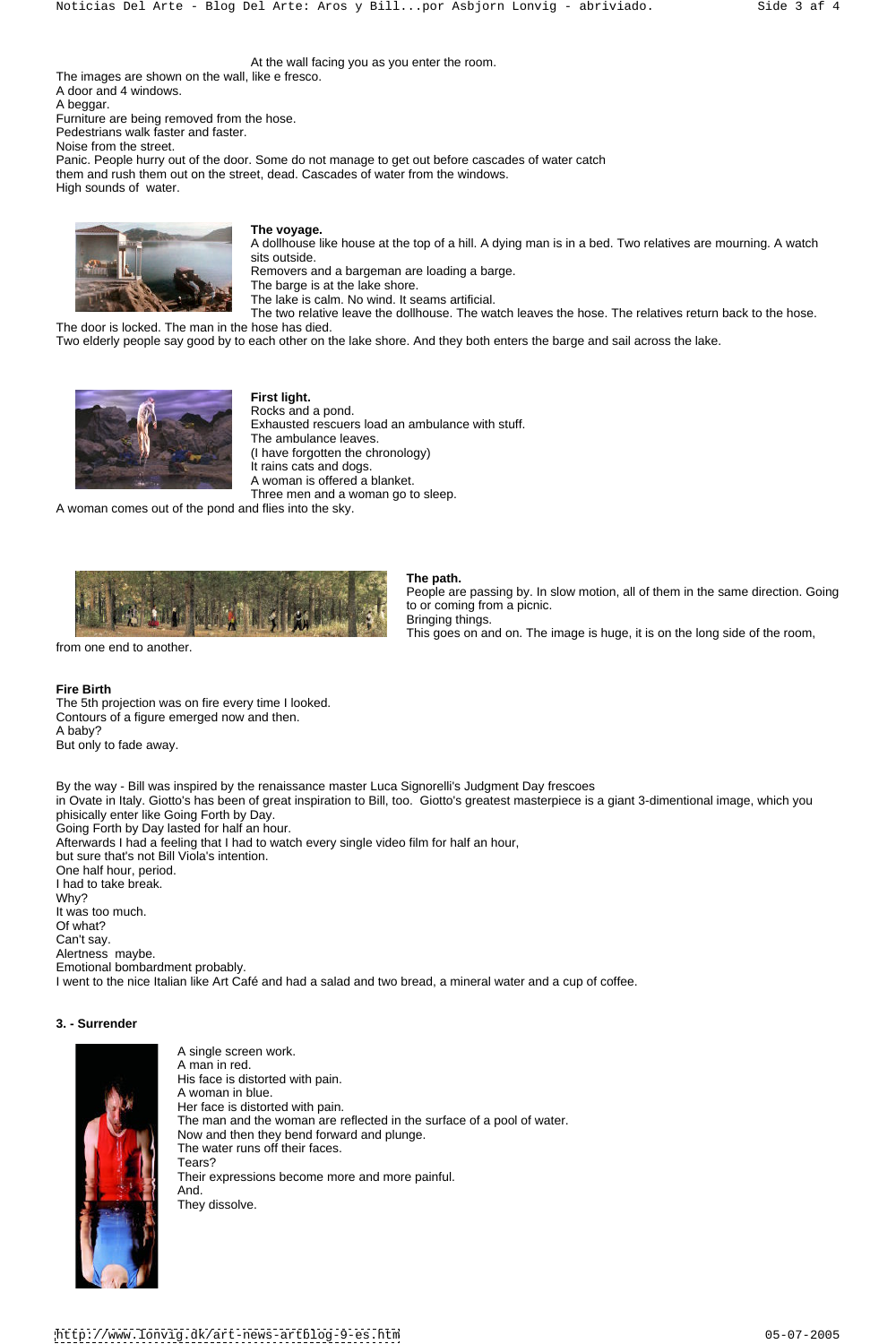At the wall facing you as you enter the room.

The images are shown on the wall, like e fresco. A door and 4 windows. A beggar. Furniture are being removed from the hose. Pedestrians walk faster and faster. Noise from the street. Panic. People hurry out of the door. Some do not manage to get out before cascades of water catch them and rush them out on the street, dead. Cascades of water from the windows. High sounds of water.



#### **The voyage.**

A dollhouse like house at the top of a hill. A dying man is in a bed. Two relatives are mourning. A watch sits outside.

Removers and a bargeman are loading a barge.

The barge is at the lake shore.

The lake is calm. No wind. It seams artificial.

The two relative leave the dollhouse. The watch leaves the hose. The relatives return back to the hose. The door is locked. The man in the hose has died.

Two elderly people say good by to each other on the lake shore. And they both enters the barge and sail across the lake.



**First light.** Rocks and a pond. Exhausted rescuers load an ambulance with stuff. The ambulance leaves. (I have forgotten the chronology) It rains cats and dogs. A woman is offered a blanket. Three men and a woman go to sleep.

A woman comes out of the pond and flies into the sky.



### **The path.**

People are passing by. In slow motion, all of them in the same direction. Going to or coming from a picnic. Bringing things. This goes on and on. The image is huge, it is on the long side of the room,

#### from one end to another.

#### **Fire Birth**

The 5th projection was on fire every time I looked. Contours of a figure emerged now and then. A baby? But only to fade away.

By the way - Bill was inspired by the renaissance master Luca Signorelli's Judgment Day frescoes in Ovate in Italy. Giotto's has been of great inspiration to Bill, too. Giotto's greatest masterpiece is a giant 3-dimentional image, which you phisically enter like Going Forth by Day. Going Forth by Day lasted for half an hour. Afterwards I had a feeling that I had to watch every single video film for half an hour, but sure that's not Bill Viola's intention. One half hour, period. I had to take break. Why? It was too much. Of what?

Can't say.

Alertness maybe.

Emotional bombardment probably.

I went to the nice Italian like Art Café and had a salad and two bread, a mineral water and a cup of coffee.

#### **3. - Surrender**



A single screen work. A man in red. His face is distorted with pain. A woman in blue. Her face is distorted with pain. The man and the woman are reflected in the surface of a pool of water. Now and then they bend forward and plunge. The water runs off their faces. Tears? Their expressions become more and more painful. And. They dissolve.